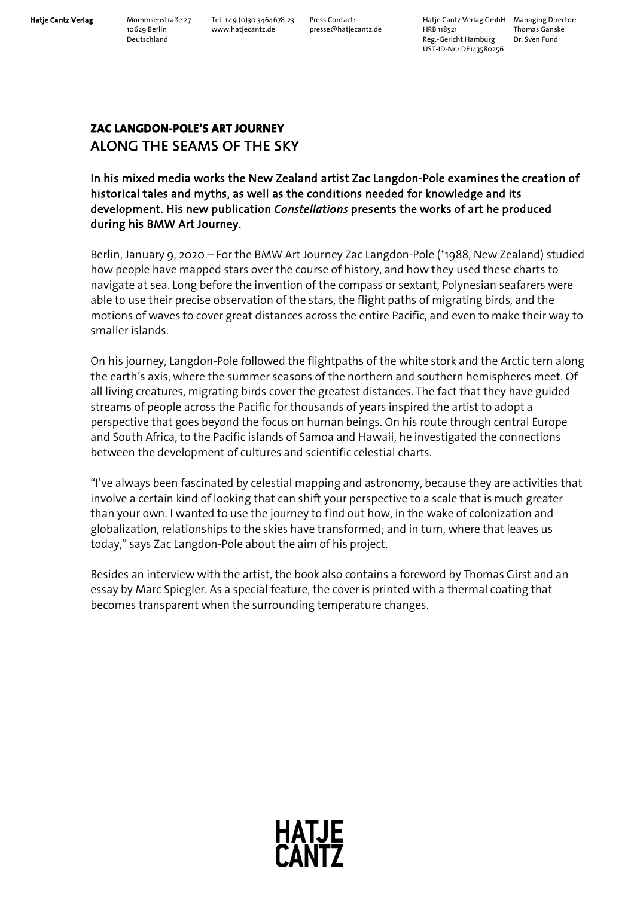Hatje Cantz Verlag Mommsenstraße 27 Tel. +49 (0)30 3464678-23 Press Contact: Hatje Cantz Verlag GmbH Managing Director:<br>10629 Berlin www.hatjecantz.de presse@hatjecantz.de HRB 118521 Thomas Ganske 10629 Berlin www.hatjecantz.de presse@hatjecantz.de HRB 118521 Thomas Gansk<br>Deutschland Dr Sven Fund Reg.-Gericht Hamburg UST-ID-Nr.: DE143580256

# **ZAC LANGDON-POLE'S ART JOURNEY**  ALONG THE SEAMS OF THE SKY

## In his mixed media works the New Zealand artist Zac Langdon-Pole examines the creation of historical tales and myths, as well as the conditions needed for knowledge and its development. His new publication *Constellations* presents the works of art he produced during his BMW Art Journey.

Berlin, January 9, 2020 – For the BMW Art Journey Zac Langdon-Pole (\*1988, New Zealand) studied how people have mapped stars over the course of history, and how they used these charts to navigate at sea. Long before the invention of the compass or sextant, Polynesian seafarers were able to use their precise observation of the stars, the flight paths of migrating birds, and the motions of waves to cover great distances across the entire Pacific, and even to make their way to smaller islands.

On his journey, Langdon-Pole followed the flightpaths of the white stork and the Arctic tern along the earth's axis, where the summer seasons of the northern and southern hemispheres meet. Of all living creatures, migrating birds cover the greatest distances. The fact that they have guided streams of people across the Pacific for thousands of years inspired the artist to adopt a perspective that goes beyond the focus on human beings. On his route through central Europe and South Africa, to the Pacific islands of Samoa and Hawaii, he investigated the connections between the development of cultures and scientific celestial charts.

"I've always been fascinated by celestial mapping and astronomy, because they are activities that involve a certain kind of looking that can shift your perspective to a scale that is much greater than your own. I wanted to use the journey to find out how, in the wake of colonization and globalization, relationships to the skies have transformed; and in turn, where that leaves us today," says Zac Langdon-Pole about the aim of his project.

Besides an interview with the artist, the book also contains a foreword by Thomas Girst and an essay by Marc Spiegler. As a special feature, the cover is printed with a thermal coating that becomes transparent when the surrounding temperature changes.